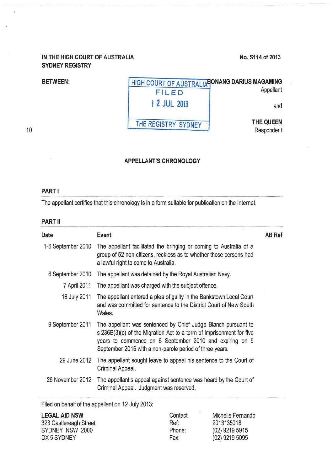## **IN THE HIGH COURT OF AUSTRALIA SYDNEY REGISTRY**

## **No.S114of2013**

# **BETWEEN:** HIGH COURT OF AUSTRALIA<sup>B</sup>ONANG DARIUS MAGAMING *Appellant* FILED **1 2 JUL 2013** and **THE REGISTRY SYDNEY THE QUEEN**  Respondent

10

### **APPELLANT'S CHRONOLOGY**

#### **PART I**

The appellant certifies that this chronology is in a form suitable for publication on the internet.

#### **PART II**

| <b>Date</b>        | <b>Event</b>                                                                                                                                                                                                                                                | <b>AB Ref</b> |
|--------------------|-------------------------------------------------------------------------------------------------------------------------------------------------------------------------------------------------------------------------------------------------------------|---------------|
| 1-6 September 2010 | The appellant facilitated the bringing or coming to Australia of a<br>group of 52 non-citizens, reckless as to whether those persons had<br>a lawful right to come to Australia.                                                                            |               |
| 6 September 2010   | The appellant was detained by the Royal Australian Navy.                                                                                                                                                                                                    |               |
| 7 April 2011       | The appellant was charged with the subject offence.                                                                                                                                                                                                         |               |
| 18 July 2011       | The appellant entered a plea of guilty in the Bankstown Local Court<br>and was committed for sentence to the District Court of New South<br>Wales.                                                                                                          |               |
| 9 September 2011   | The appellant was sentenced by Chief Judge Blanch pursuant to<br>s 236B(3)(c) of the Migration Act to a term of imprisonment for five<br>years to commence on 6 September 2010 and expiring on 5<br>September 2015 with a non-parole period of three years. |               |
| 29 June 2012       | The appellant sought leave to appeal his sentence to the Court of<br>Criminal Appeal.                                                                                                                                                                       |               |
| 26 November 2012   | The appellant's appeal against sentence was heard by the Court of<br>Criminal Appeal. Judgment was reserved.                                                                                                                                                |               |

Filed on behalf of the appellant on 12 July 2013:

| <b>LEGAL AID NSW</b>   | 2.25<br>Contact: | Michelle Fernando |
|------------------------|------------------|-------------------|
| 323 Castlereagh Street | Ref:             | 2013135018        |
| SYDNEY NSW 2000        | Phone:           | (02) 9219 5915    |
| DX 5 SYDNEY            | Fax:             | $(02)$ 9219 5095  |